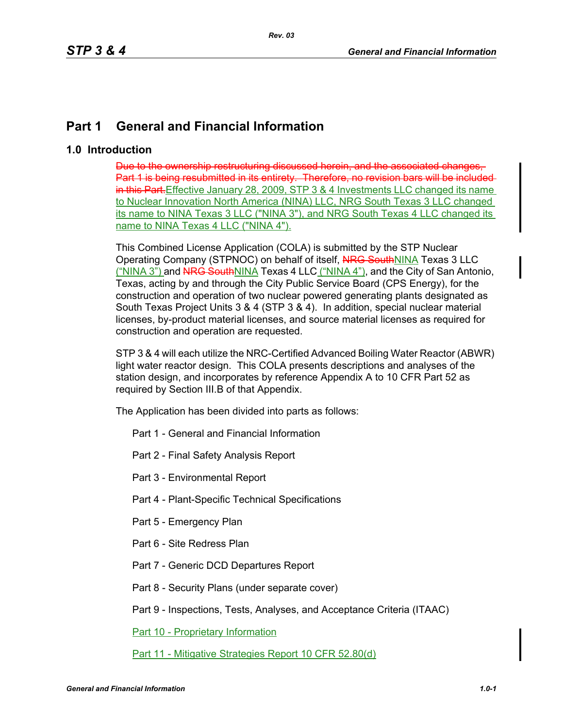## **Part 1 General and Financial Information**

## **1.0 Introduction**

Due to the ownership restructuring discussed herein, and Part 1 is being resubmitted in its entirety. Therefore, no revision bars will be included in this Part. Effective January 28, 2009, STP 3 & 4 Investments LLC changed its name to Nuclear Innovation North America (NINA) LLC, NRG South Texas 3 LLC changed its name to NINA Texas 3 LLC ("NINA 3"), and NRG South Texas 4 LLC changed its name to NINA Texas 4 LLC ("NINA 4").

This Combined License Application (COLA) is submitted by the STP Nuclear Operating Company (STPNOC) on behalf of itself, NRG SouthNINA Texas 3 LLC ("NINA 3") and NRG SouthNINA Texas 4 LLC ("NINA 4"), and the City of San Antonio, Texas, acting by and through the City Public Service Board (CPS Energy), for the construction and operation of two nuclear powered generating plants designated as South Texas Project Units 3 & 4 (STP 3 & 4). In addition, special nuclear material licenses, by-product material licenses, and source material licenses as required for construction and operation are requested.

STP 3 & 4 will each utilize the NRC-Certified Advanced Boiling Water Reactor (ABWR) light water reactor design. This COLA presents descriptions and analyses of the station design, and incorporates by reference Appendix A to 10 CFR Part 52 as required by Section III.B of that Appendix.

The Application has been divided into parts as follows:

- Part 1 General and Financial Information
- Part 2 Final Safety Analysis Report
- Part 3 Environmental Report
- Part 4 Plant-Specific Technical Specifications
- Part 5 Emergency Plan
- Part 6 Site Redress Plan
- Part 7 Generic DCD Departures Report
- Part 8 Security Plans (under separate cover)

Part 9 - Inspections, Tests, Analyses, and Acceptance Criteria (ITAAC)

Part 10 - Proprietary Information

Part 11 - Mitigative Strategies Report 10 CFR 52.80(d)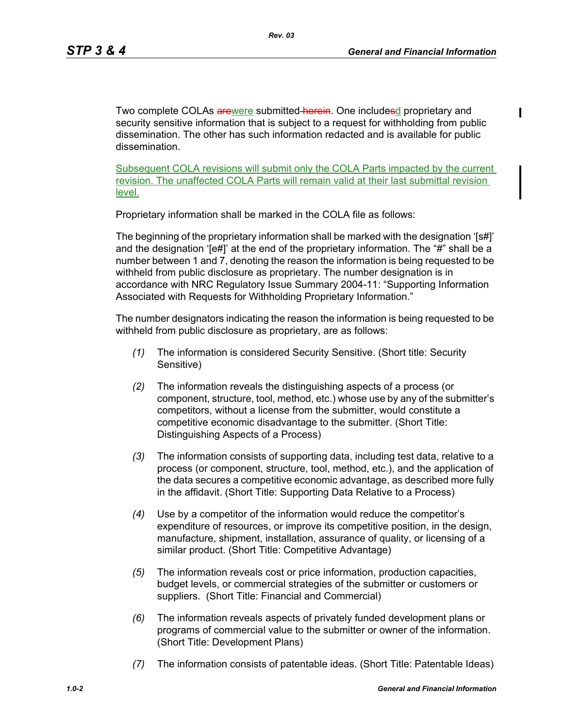Two complete COLAs arewere submitted-herein. One includesd proprietary and security sensitive information that is subject to a request for withholding from public dissemination. The other has such information redacted and is available for public dissemination.

Subsequent COLA revisions will submit only the COLA Parts impacted by the current revision. The unaffected COLA Parts will remain valid at their last submittal revision level.

Proprietary information shall be marked in the COLA file as follows:

The beginning of the proprietary information shall be marked with the designation '[s#]' and the designation '[e#]' at the end of the proprietary information. The "#" shall be a number between 1 and 7, denoting the reason the information is being requested to be withheld from public disclosure as proprietary. The number designation is in accordance with NRC Regulatory Issue Summary 2004-11: "Supporting Information Associated with Requests for Withholding Proprietary Information."

The number designators indicating the reason the information is being requested to be withheld from public disclosure as proprietary, are as follows:

- *(1)* The information is considered Security Sensitive. (Short title: Security Sensitive)
- *(2)* The information reveals the distinguishing aspects of a process (or component, structure, tool, method, etc.) whose use by any of the submitter's competitors, without a license from the submitter, would constitute a competitive economic disadvantage to the submitter. (Short Title: Distinguishing Aspects of a Process)
- *(3)* The information consists of supporting data, including test data, relative to a process (or component, structure, tool, method, etc.), and the application of the data secures a competitive economic advantage, as described more fully in the affidavit. (Short Title: Supporting Data Relative to a Process)
- *(4)* Use by a competitor of the information would reduce the competitor's expenditure of resources, or improve its competitive position, in the design, manufacture, shipment, installation, assurance of quality, or licensing of a similar product. (Short Title: Competitive Advantage)
- *(5)* The information reveals cost or price information, production capacities, budget levels, or commercial strategies of the submitter or customers or suppliers. (Short Title: Financial and Commercial)
- *(6)* The information reveals aspects of privately funded development plans or programs of commercial value to the submitter or owner of the information. (Short Title: Development Plans)
- *(7)* The information consists of patentable ideas. (Short Title: Patentable Ideas)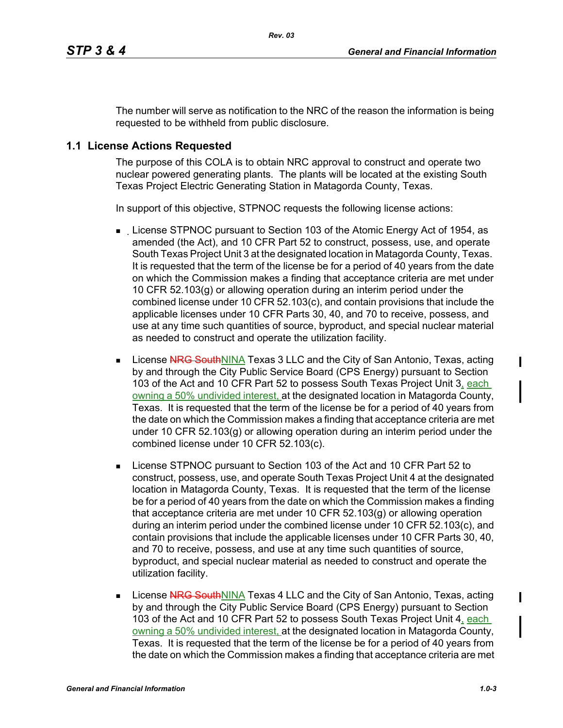The number will serve as notification to the NRC of the reason the information is being requested to be withheld from public disclosure.

## **1.1 License Actions Requested**

The purpose of this COLA is to obtain NRC approval to construct and operate two nuclear powered generating plants. The plants will be located at the existing South Texas Project Electric Generating Station in Matagorda County, Texas.

In support of this objective, STPNOC requests the following license actions:

- **License STPNOC pursuant to Section 103 of the Atomic Energy Act of 1954, as** amended (the Act), and 10 CFR Part 52 to construct, possess, use, and operate South Texas Project Unit 3 at the designated location in Matagorda County, Texas. It is requested that the term of the license be for a period of 40 years from the date on which the Commission makes a finding that acceptance criteria are met under 10 CFR 52.103(g) or allowing operation during an interim period under the combined license under 10 CFR 52.103(c), and contain provisions that include the applicable licenses under 10 CFR Parts 30, 40, and 70 to receive, possess, and use at any time such quantities of source, byproduct, and special nuclear material as needed to construct and operate the utilization facility.
- **License NRG SouthNINA Texas 3 LLC and the City of San Antonio, Texas, acting** by and through the City Public Service Board (CPS Energy) pursuant to Section 103 of the Act and 10 CFR Part 52 to possess South Texas Project Unit 3, each owning a 50% undivided interest, at the designated location in Matagorda County, Texas. It is requested that the term of the license be for a period of 40 years from the date on which the Commission makes a finding that acceptance criteria are met under 10 CFR 52.103(g) or allowing operation during an interim period under the combined license under 10 CFR 52.103(c).
- License STPNOC pursuant to Section 103 of the Act and 10 CFR Part 52 to construct, possess, use, and operate South Texas Project Unit 4 at the designated location in Matagorda County, Texas. It is requested that the term of the license be for a period of 40 years from the date on which the Commission makes a finding that acceptance criteria are met under 10 CFR 52.103(g) or allowing operation during an interim period under the combined license under 10 CFR 52.103(c), and contain provisions that include the applicable licenses under 10 CFR Parts 30, 40, and 70 to receive, possess, and use at any time such quantities of source, byproduct, and special nuclear material as needed to construct and operate the utilization facility.
- **License NRG SouthNINA** Texas 4 LLC and the City of San Antonio, Texas, acting by and through the City Public Service Board (CPS Energy) pursuant to Section 103 of the Act and 10 CFR Part 52 to possess South Texas Project Unit 4, each owning a 50% undivided interest, at the designated location in Matagorda County, Texas. It is requested that the term of the license be for a period of 40 years from the date on which the Commission makes a finding that acceptance criteria are met

 $\mathbf I$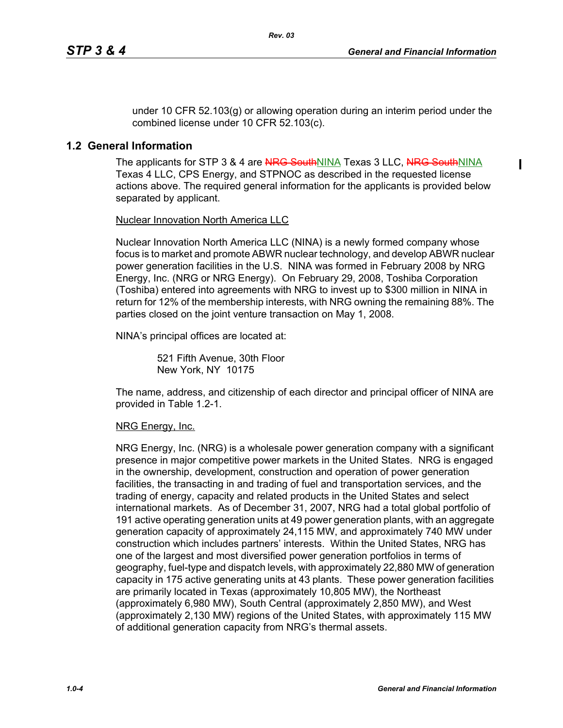$\mathbf I$ 

under 10 CFR 52.103(g) or allowing operation during an interim period under the combined license under 10 CFR 52.103(c).

*Rev. 03*

## **1.2 General Information**

The applicants for STP 3 & 4 are NRG SouthNINA Texas 3 LLC, NRG SouthNINA Texas 4 LLC, CPS Energy, and STPNOC as described in the requested license actions above. The required general information for the applicants is provided below separated by applicant.

#### Nuclear Innovation North America LLC

Nuclear Innovation North America LLC (NINA) is a newly formed company whose focus is to market and promote ABWR nuclear technology, and develop ABWR nuclear power generation facilities in the U.S. NINA was formed in February 2008 by NRG Energy, Inc. (NRG or NRG Energy). On February 29, 2008, Toshiba Corporation (Toshiba) entered into agreements with NRG to invest up to \$300 million in NINA in return for 12% of the membership interests, with NRG owning the remaining 88%. The parties closed on the joint venture transaction on May 1, 2008.

NINA's principal offices are located at:

521 Fifth Avenue, 30th Floor New York, NY 10175

The name, address, and citizenship of each director and principal officer of NINA are provided in Table 1.2-1.

#### NRG Energy, Inc.

NRG Energy, Inc. (NRG) is a wholesale power generation company with a significant presence in major competitive power markets in the United States. NRG is engaged in the ownership, development, construction and operation of power generation facilities, the transacting in and trading of fuel and transportation services, and the trading of energy, capacity and related products in the United States and select international markets. As of December 31, 2007, NRG had a total global portfolio of 191 active operating generation units at 49 power generation plants, with an aggregate generation capacity of approximately 24,115 MW, and approximately 740 MW under construction which includes partners' interests. Within the United States, NRG has one of the largest and most diversified power generation portfolios in terms of geography, fuel-type and dispatch levels, with approximately 22,880 MW of generation capacity in 175 active generating units at 43 plants. These power generation facilities are primarily located in Texas (approximately 10,805 MW), the Northeast (approximately 6,980 MW), South Central (approximately 2,850 MW), and West (approximately 2,130 MW) regions of the United States, with approximately 115 MW of additional generation capacity from NRG's thermal assets.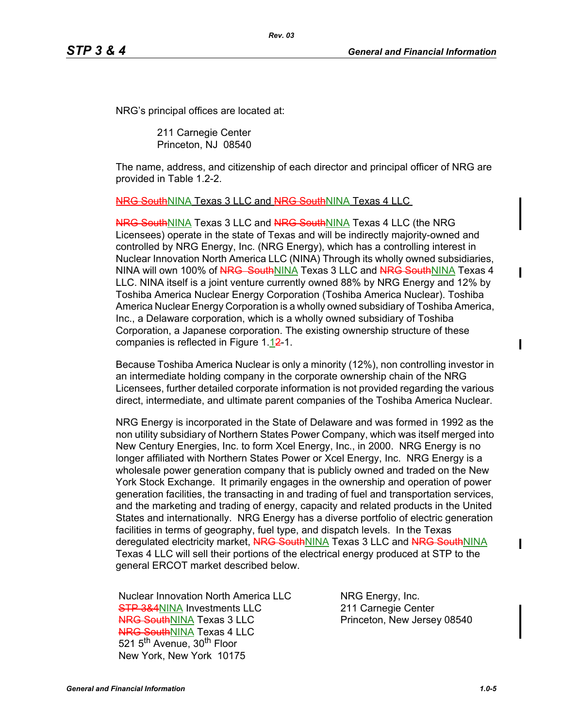NRG's principal offices are located at:

211 Carnegie Center Princeton, NJ 08540

The name, address, and citizenship of each director and principal officer of NRG are provided in Table 1.2-2.

#### NRG SouthNINA Texas 3 LLC and NRG SouthNINA Texas 4 LLC

NRG SouthNINA Texas 3 LLC and NRG SouthNINA Texas 4 LLC (the NRG Licensees) operate in the state of Texas and will be indirectly majority-owned and controlled by NRG Energy, Inc. (NRG Energy), which has a controlling interest in Nuclear Innovation North America LLC (NINA) Through its wholly owned subsidiaries, NINA will own 100% of NRG SouthNINA Texas 3 LLC and NRG SouthNINA Texas 4 LLC. NINA itself is a joint venture currently owned 88% by NRG Energy and 12% by Toshiba America Nuclear Energy Corporation (Toshiba America Nuclear). Toshiba America Nuclear Energy Corporation is a wholly owned subsidiary of Toshiba America, Inc., a Delaware corporation, which is a wholly owned subsidiary of Toshiba Corporation, a Japanese corporation. The existing ownership structure of these companies is reflected in Figure  $1.12-1.$ 

Because Toshiba America Nuclear is only a minority (12%), non controlling investor in an intermediate holding company in the corporate ownership chain of the NRG Licensees, further detailed corporate information is not provided regarding the various direct, intermediate, and ultimate parent companies of the Toshiba America Nuclear.

NRG Energy is incorporated in the State of Delaware and was formed in 1992 as the non utility subsidiary of Northern States Power Company, which was itself merged into New Century Energies, Inc. to form Xcel Energy, Inc., in 2000. NRG Energy is no longer affiliated with Northern States Power or Xcel Energy, Inc. NRG Energy is a wholesale power generation company that is publicly owned and traded on the New York Stock Exchange. It primarily engages in the ownership and operation of power generation facilities, the transacting in and trading of fuel and transportation services, and the marketing and trading of energy, capacity and related products in the United States and internationally. NRG Energy has a diverse portfolio of electric generation facilities in terms of geography, fuel type, and dispatch levels. In the Texas deregulated electricity market, NRG SouthNINA Texas 3 LLC and NRG SouthNINA Texas 4 LLC will sell their portions of the electrical energy produced at STP to the general ERCOT market described below.

Nuclear Innovation North America LLC **STP 3&4NINA Investments LLC** NRG SouthNINA Texas 3 LLC **NRG SouthNINA Texas 4 LLC** 521 5<sup>th</sup> Avenue, 30<sup>th</sup> Floor New York, New York 10175

NRG Energy, Inc. 211 Carnegie Center Princeton, New Jersey 08540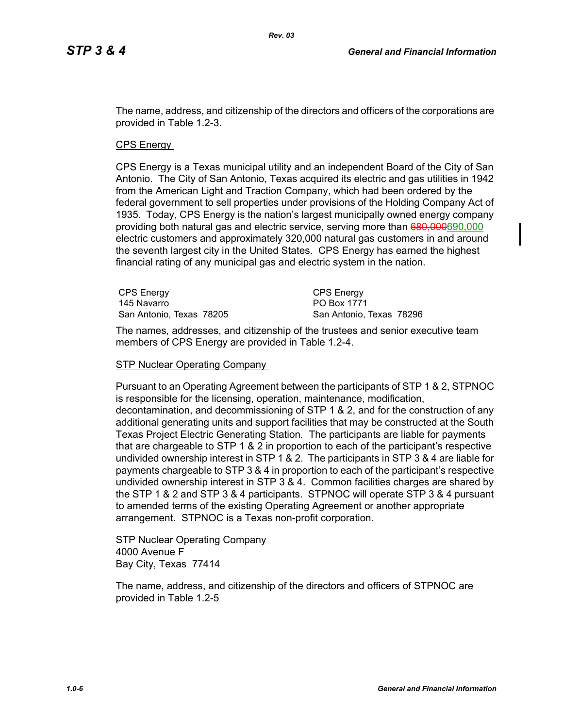The name, address, and citizenship of the directors and officers of the corporations are provided in Table 1.2-3.

CPS Energy

CPS Energy is a Texas municipal utility and an independent Board of the City of San Antonio. The City of San Antonio, Texas acquired its electric and gas utilities in 1942 from the American Light and Traction Company, which had been ordered by the federal government to sell properties under provisions of the Holding Company Act of 1935. Today, CPS Energy is the nation's largest municipally owned energy company providing both natural gas and electric service, serving more than 680,000690,000 electric customers and approximately 320,000 natural gas customers in and around the seventh largest city in the United States. CPS Energy has earned the highest financial rating of any municipal gas and electric system in the nation.

| <b>CPS Energy</b>        | CPS Energy               |
|--------------------------|--------------------------|
| 145 Navarro              | PO Box 1771              |
| San Antonio, Texas 78205 | San Antonio, Texas 78296 |

The names, addresses, and citizenship of the trustees and senior executive team members of CPS Energy are provided in Table 1.2-4.

#### **STP Nuclear Operating Company**

Pursuant to an Operating Agreement between the participants of STP 1 & 2, STPNOC is responsible for the licensing, operation, maintenance, modification, decontamination, and decommissioning of STP 1 & 2, and for the construction of any additional generating units and support facilities that may be constructed at the South Texas Project Electric Generating Station. The participants are liable for payments that are chargeable to STP 1 & 2 in proportion to each of the participant's respective undivided ownership interest in STP 1 & 2. The participants in STP 3 & 4 are liable for payments chargeable to STP 3 & 4 in proportion to each of the participant's respective undivided ownership interest in STP 3 & 4. Common facilities charges are shared by the STP 1 & 2 and STP 3 & 4 participants. STPNOC will operate STP 3 & 4 pursuant to amended terms of the existing Operating Agreement or another appropriate arrangement. STPNOC is a Texas non-profit corporation.

STP Nuclear Operating Company 4000 Avenue F Bay City, Texas 77414

The name, address, and citizenship of the directors and officers of STPNOC are provided in Table 1.2-5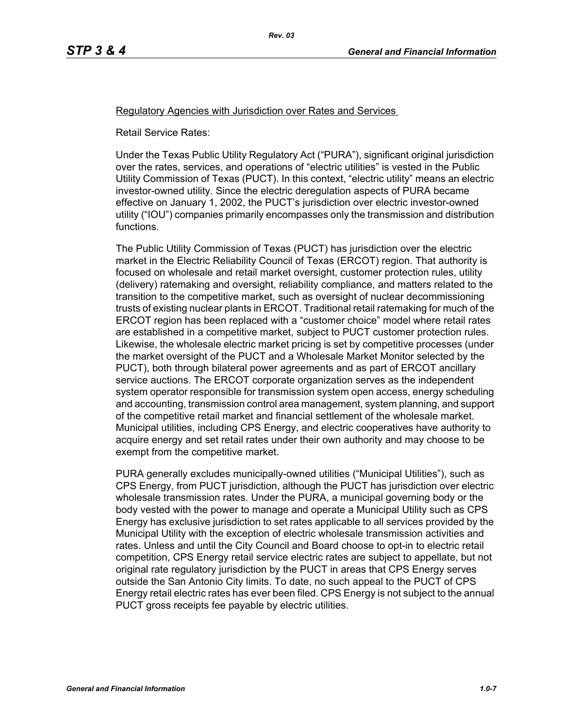#### Regulatory Agencies with Jurisdiction over Rates and Services

*Rev. 03*

Retail Service Rates:

Under the Texas Public Utility Regulatory Act ("PURA"), significant original jurisdiction over the rates, services, and operations of "electric utilities" is vested in the Public Utility Commission of Texas (PUCT). In this context, "electric utility" means an electric investor-owned utility. Since the electric deregulation aspects of PURA became effective on January 1, 2002, the PUCT's jurisdiction over electric investor-owned utility ("IOU") companies primarily encompasses only the transmission and distribution functions.

The Public Utility Commission of Texas (PUCT) has jurisdiction over the electric market in the Electric Reliability Council of Texas (ERCOT) region. That authority is focused on wholesale and retail market oversight, customer protection rules, utility (delivery) ratemaking and oversight, reliability compliance, and matters related to the transition to the competitive market, such as oversight of nuclear decommissioning trusts of existing nuclear plants in ERCOT. Traditional retail ratemaking for much of the ERCOT region has been replaced with a "customer choice" model where retail rates are established in a competitive market, subject to PUCT customer protection rules. Likewise, the wholesale electric market pricing is set by competitive processes (under the market oversight of the PUCT and a Wholesale Market Monitor selected by the PUCT), both through bilateral power agreements and as part of ERCOT ancillary service auctions. The ERCOT corporate organization serves as the independent system operator responsible for transmission system open access, energy scheduling and accounting, transmission control area management, system planning, and support of the competitive retail market and financial settlement of the wholesale market. Municipal utilities, including CPS Energy, and electric cooperatives have authority to acquire energy and set retail rates under their own authority and may choose to be exempt from the competitive market.

PURA generally excludes municipally-owned utilities ("Municipal Utilities"), such as CPS Energy, from PUCT jurisdiction, although the PUCT has jurisdiction over electric wholesale transmission rates. Under the PURA, a municipal governing body or the body vested with the power to manage and operate a Municipal Utility such as CPS Energy has exclusive jurisdiction to set rates applicable to all services provided by the Municipal Utility with the exception of electric wholesale transmission activities and rates. Unless and until the City Council and Board choose to opt-in to electric retail competition, CPS Energy retail service electric rates are subject to appellate, but not original rate regulatory jurisdiction by the PUCT in areas that CPS Energy serves outside the San Antonio City limits. To date, no such appeal to the PUCT of CPS Energy retail electric rates has ever been filed. CPS Energy is not subject to the annual PUCT gross receipts fee payable by electric utilities.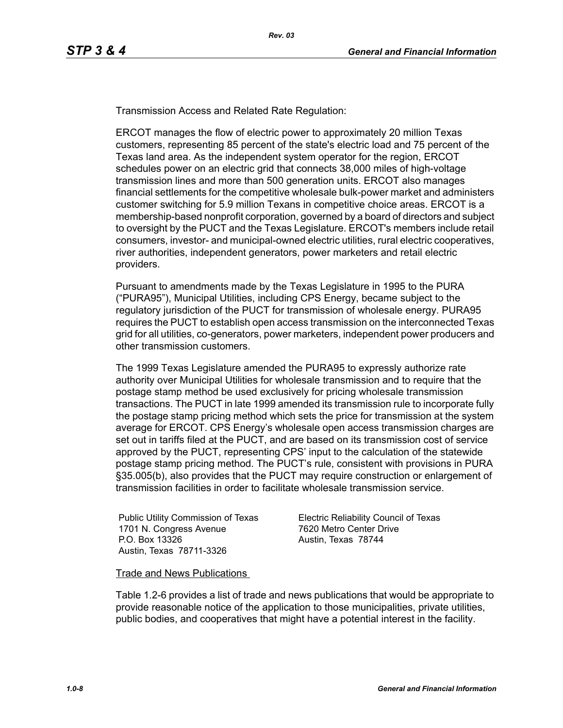Transmission Access and Related Rate Regulation:

ERCOT manages the flow of electric power to approximately 20 million Texas customers, representing 85 percent of the state's electric load and 75 percent of the Texas land area. As the independent system operator for the region, ERCOT schedules power on an electric grid that connects 38,000 miles of high-voltage transmission lines and more than 500 generation units. ERCOT also manages financial settlements for the competitive wholesale bulk-power market and administers customer switching for 5.9 million Texans in competitive choice areas. ERCOT is a membership-based nonprofit corporation, governed by a board of directors and subject to oversight by the PUCT and the Texas Legislature. ERCOT's members include retail consumers, investor- and municipal-owned electric utilities, rural electric cooperatives, river authorities, independent generators, power marketers and retail electric providers.

Pursuant to amendments made by the Texas Legislature in 1995 to the PURA ("PURA95"), Municipal Utilities, including CPS Energy, became subject to the regulatory jurisdiction of the PUCT for transmission of wholesale energy. PURA95 requires the PUCT to establish open access transmission on the interconnected Texas grid for all utilities, co-generators, power marketers, independent power producers and other transmission customers.

The 1999 Texas Legislature amended the PURA95 to expressly authorize rate authority over Municipal Utilities for wholesale transmission and to require that the postage stamp method be used exclusively for pricing wholesale transmission transactions. The PUCT in late 1999 amended its transmission rule to incorporate fully the postage stamp pricing method which sets the price for transmission at the system average for ERCOT. CPS Energy's wholesale open access transmission charges are set out in tariffs filed at the PUCT, and are based on its transmission cost of service approved by the PUCT, representing CPS' input to the calculation of the statewide postage stamp pricing method. The PUCT's rule, consistent with provisions in PURA §35.005(b), also provides that the PUCT may require construction or enlargement of transmission facilities in order to facilitate wholesale transmission service.

Public Utility Commission of Texas 1701 N. Congress Avenue P.O. Box 13326 Austin, Texas 78711-3326

Electric Reliability Council of Texas 7620 Metro Center Drive Austin, Texas 78744

Trade and News Publications

Table 1.2-6 provides a list of trade and news publications that would be appropriate to provide reasonable notice of the application to those municipalities, private utilities, public bodies, and cooperatives that might have a potential interest in the facility.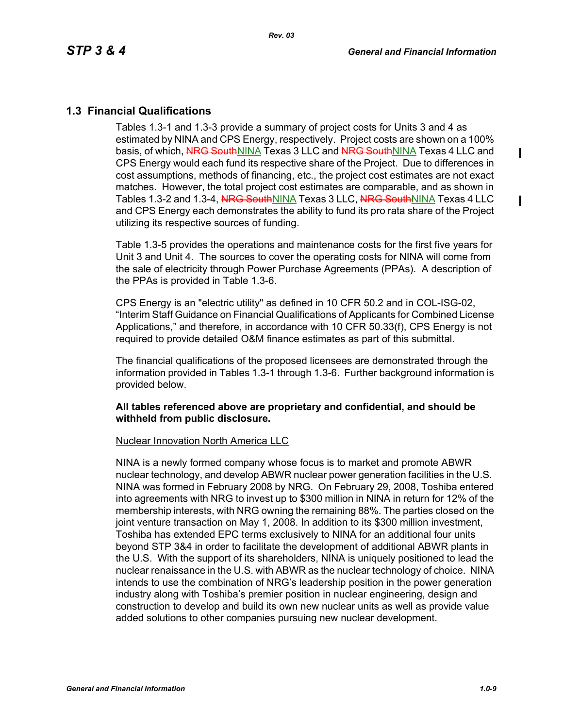$\mathbf I$ 

ı

## **1.3 Financial Qualifications**

Tables 1.3-1 and 1.3-3 provide a summary of project costs for Units 3 and 4 as estimated by NINA and CPS Energy, respectively. Project costs are shown on a 100% basis, of which, NRG SouthNINA Texas 3 LLC and NRG SouthNINA Texas 4 LLC and CPS Energy would each fund its respective share of the Project. Due to differences in cost assumptions, methods of financing, etc., the project cost estimates are not exact matches. However, the total project cost estimates are comparable, and as shown in Tables 1.3-2 and 1.3-4, NRG SouthNINA Texas 3 LLC, NRG SouthNINA Texas 4 LLC and CPS Energy each demonstrates the ability to fund its pro rata share of the Project utilizing its respective sources of funding.

Table 1.3-5 provides the operations and maintenance costs for the first five years for Unit 3 and Unit 4. The sources to cover the operating costs for NINA will come from the sale of electricity through Power Purchase Agreements (PPAs). A description of the PPAs is provided in Table 1.3-6.

CPS Energy is an "electric utility" as defined in 10 CFR 50.2 and in COL-ISG-02, "Interim Staff Guidance on Financial Qualifications of Applicants for Combined License Applications," and therefore, in accordance with 10 CFR 50.33(f), CPS Energy is not required to provide detailed O&M finance estimates as part of this submittal.

The financial qualifications of the proposed licensees are demonstrated through the information provided in Tables 1.3-1 through 1.3-6. Further background information is provided below.

#### **All tables referenced above are proprietary and confidential, and should be withheld from public disclosure.**

#### Nuclear Innovation North America LLC

NINA is a newly formed company whose focus is to market and promote ABWR nuclear technology, and develop ABWR nuclear power generation facilities in the U.S. NINA was formed in February 2008 by NRG. On February 29, 2008, Toshiba entered into agreements with NRG to invest up to \$300 million in NINA in return for 12% of the membership interests, with NRG owning the remaining 88%. The parties closed on the joint venture transaction on May 1, 2008. In addition to its \$300 million investment, Toshiba has extended EPC terms exclusively to NINA for an additional four units beyond STP 3&4 in order to facilitate the development of additional ABWR plants in the U.S. With the support of its shareholders, NINA is uniquely positioned to lead the nuclear renaissance in the U.S. with ABWR as the nuclear technology of choice. NINA intends to use the combination of NRG's leadership position in the power generation industry along with Toshiba's premier position in nuclear engineering, design and construction to develop and build its own new nuclear units as well as provide value added solutions to other companies pursuing new nuclear development.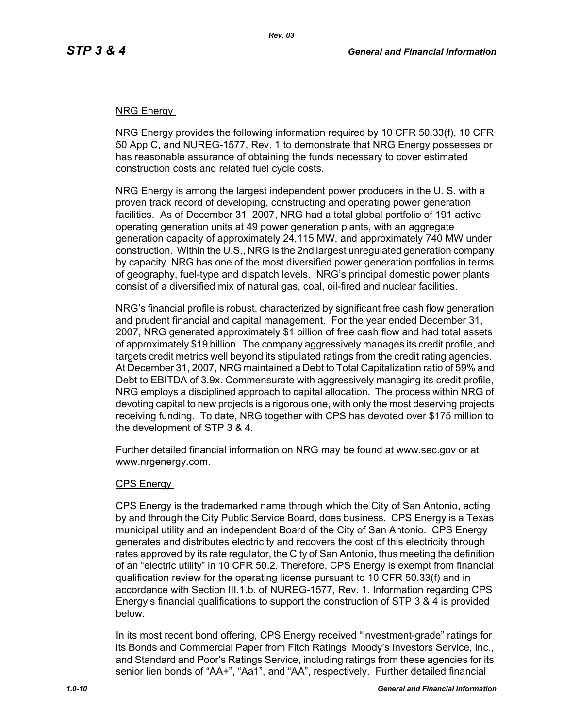### NRG Energy

NRG Energy provides the following information required by 10 CFR 50.33(f), 10 CFR 50 App C, and NUREG-1577, Rev. 1 to demonstrate that NRG Energy possesses or has reasonable assurance of obtaining the funds necessary to cover estimated construction costs and related fuel cycle costs.

NRG Energy is among the largest independent power producers in the U. S. with a proven track record of developing, constructing and operating power generation facilities. As of December 31, 2007, NRG had a total global portfolio of 191 active operating generation units at 49 power generation plants, with an aggregate generation capacity of approximately 24,115 MW, and approximately 740 MW under construction. Within the U.S., NRG is the 2nd largest unregulated generation company by capacity. NRG has one of the most diversified power generation portfolios in terms of geography, fuel-type and dispatch levels. NRG's principal domestic power plants consist of a diversified mix of natural gas, coal, oil-fired and nuclear facilities.

NRG's financial profile is robust, characterized by significant free cash flow generation and prudent financial and capital management. For the year ended December 31, 2007, NRG generated approximately \$1 billion of free cash flow and had total assets of approximately \$19 billion. The company aggressively manages its credit profile, and targets credit metrics well beyond its stipulated ratings from the credit rating agencies. At December 31, 2007, NRG maintained a Debt to Total Capitalization ratio of 59% and Debt to EBITDA of 3.9x. Commensurate with aggressively managing its credit profile, NRG employs a disciplined approach to capital allocation. The process within NRG of devoting capital to new projects is a rigorous one, with only the most deserving projects receiving funding. To date, NRG together with CPS has devoted over \$175 million to the development of STP 3 & 4.

Further detailed financial information on NRG may be found at www.sec.gov or at www.nrgenergy.com.

#### CPS Energy

CPS Energy is the trademarked name through which the City of San Antonio, acting by and through the City Public Service Board, does business. CPS Energy is a Texas municipal utility and an independent Board of the City of San Antonio. CPS Energy generates and distributes electricity and recovers the cost of this electricity through rates approved by its rate regulator, the City of San Antonio, thus meeting the definition of an "electric utility" in 10 CFR 50.2. Therefore, CPS Energy is exempt from financial qualification review for the operating license pursuant to 10 CFR 50.33(f) and in accordance with Section III.1.b. of NUREG-1577, Rev. 1. Information regarding CPS Energy's financial qualifications to support the construction of STP 3 & 4 is provided below.

In its most recent bond offering, CPS Energy received "investment-grade" ratings for its Bonds and Commercial Paper from Fitch Ratings, Moody's Investors Service, Inc., and Standard and Poor's Ratings Service, including ratings from these agencies for its senior lien bonds of "AA+", "Aa1", and "AA", respectively. Further detailed financial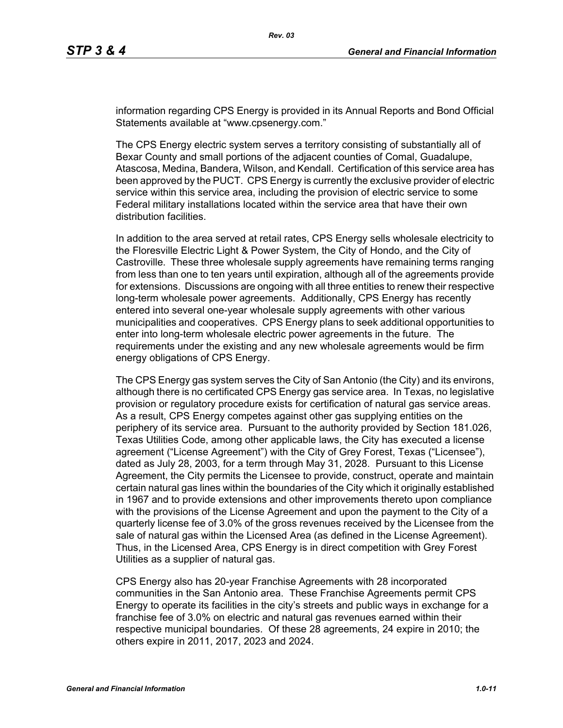information regarding CPS Energy is provided in its Annual Reports and Bond Official Statements available at "www.cpsenergy.com."

The CPS Energy electric system serves a territory consisting of substantially all of Bexar County and small portions of the adjacent counties of Comal, Guadalupe, Atascosa, Medina, Bandera, Wilson, and Kendall. Certification of this service area has been approved by the PUCT. CPS Energy is currently the exclusive provider of electric service within this service area, including the provision of electric service to some Federal military installations located within the service area that have their own distribution facilities.

In addition to the area served at retail rates, CPS Energy sells wholesale electricity to the Floresville Electric Light & Power System, the City of Hondo, and the City of Castroville. These three wholesale supply agreements have remaining terms ranging from less than one to ten years until expiration, although all of the agreements provide for extensions. Discussions are ongoing with all three entities to renew their respective long-term wholesale power agreements. Additionally, CPS Energy has recently entered into several one-year wholesale supply agreements with other various municipalities and cooperatives. CPS Energy plans to seek additional opportunities to enter into long-term wholesale electric power agreements in the future. The requirements under the existing and any new wholesale agreements would be firm energy obligations of CPS Energy.

The CPS Energy gas system serves the City of San Antonio (the City) and its environs, although there is no certificated CPS Energy gas service area. In Texas, no legislative provision or regulatory procedure exists for certification of natural gas service areas. As a result, CPS Energy competes against other gas supplying entities on the periphery of its service area. Pursuant to the authority provided by Section 181.026, Texas Utilities Code, among other applicable laws, the City has executed a license agreement ("License Agreement") with the City of Grey Forest, Texas ("Licensee"), dated as July 28, 2003, for a term through May 31, 2028. Pursuant to this License Agreement, the City permits the Licensee to provide, construct, operate and maintain certain natural gas lines within the boundaries of the City which it originally established in 1967 and to provide extensions and other improvements thereto upon compliance with the provisions of the License Agreement and upon the payment to the City of a quarterly license fee of 3.0% of the gross revenues received by the Licensee from the sale of natural gas within the Licensed Area (as defined in the License Agreement). Thus, in the Licensed Area, CPS Energy is in direct competition with Grey Forest Utilities as a supplier of natural gas.

CPS Energy also has 20-year Franchise Agreements with 28 incorporated communities in the San Antonio area. These Franchise Agreements permit CPS Energy to operate its facilities in the city's streets and public ways in exchange for a franchise fee of 3.0% on electric and natural gas revenues earned within their respective municipal boundaries. Of these 28 agreements, 24 expire in 2010; the others expire in 2011, 2017, 2023 and 2024.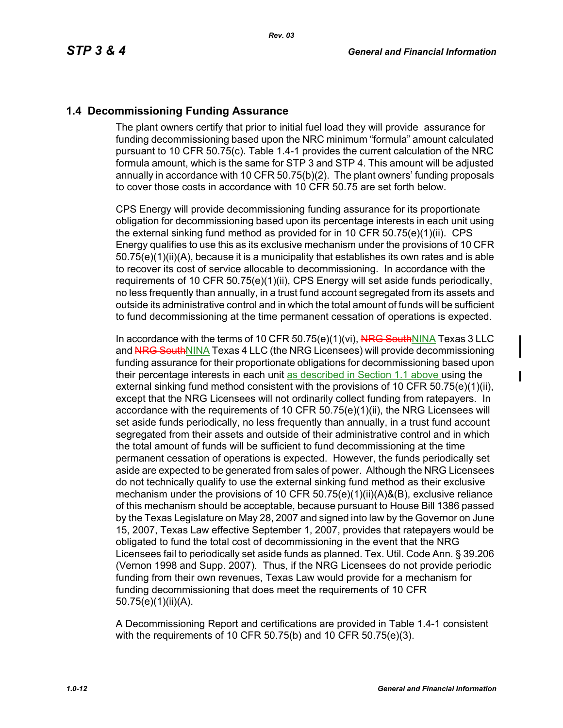## **1.4 Decommissioning Funding Assurance**

The plant owners certify that prior to initial fuel load they will provide assurance for funding decommissioning based upon the NRC minimum "formula" amount calculated pursuant to 10 CFR 50.75(c). Table 1.4-1 provides the current calculation of the NRC formula amount, which is the same for STP 3 and STP 4. This amount will be adjusted annually in accordance with 10 CFR 50.75(b)(2). The plant owners' funding proposals to cover those costs in accordance with 10 CFR 50.75 are set forth below.

CPS Energy will provide decommissioning funding assurance for its proportionate obligation for decommissioning based upon its percentage interests in each unit using the external sinking fund method as provided for in 10 CFR 50.75(e)(1)(ii). CPS Energy qualifies to use this as its exclusive mechanism under the provisions of 10 CFR 50.75(e)(1)(ii)(A), because it is a municipality that establishes its own rates and is able to recover its cost of service allocable to decommissioning. In accordance with the requirements of 10 CFR 50.75(e)(1)(ii), CPS Energy will set aside funds periodically, no less frequently than annually, in a trust fund account segregated from its assets and outside its administrative control and in which the total amount of funds will be sufficient to fund decommissioning at the time permanent cessation of operations is expected.

In accordance with the terms of 10 CFR 50.75(e)(1)(vi), NRG SouthNINA Texas 3 LLC and NRG SouthNINA Texas 4 LLC (the NRG Licensees) will provide decommissioning funding assurance for their proportionate obligations for decommissioning based upon their percentage interests in each unit as described in Section 1.1 above using the external sinking fund method consistent with the provisions of 10 CFR  $50.75(e)(1)(ii)$ , except that the NRG Licensees will not ordinarily collect funding from ratepayers. In accordance with the requirements of 10 CFR 50.75(e)(1)(ii), the NRG Licensees will set aside funds periodically, no less frequently than annually, in a trust fund account segregated from their assets and outside of their administrative control and in which the total amount of funds will be sufficient to fund decommissioning at the time permanent cessation of operations is expected. However, the funds periodically set aside are expected to be generated from sales of power. Although the NRG Licensees do not technically qualify to use the external sinking fund method as their exclusive mechanism under the provisions of 10 CFR 50.75(e)(1)(ii)(A)&(B), exclusive reliance of this mechanism should be acceptable, because pursuant to House Bill 1386 passed by the Texas Legislature on May 28, 2007 and signed into law by the Governor on June 15, 2007, Texas Law effective September 1, 2007, provides that ratepayers would be obligated to fund the total cost of decommissioning in the event that the NRG Licensees fail to periodically set aside funds as planned. Tex. Util. Code Ann. § 39.206 (Vernon 1998 and Supp. 2007). Thus, if the NRG Licensees do not provide periodic funding from their own revenues, Texas Law would provide for a mechanism for funding decommissioning that does meet the requirements of 10 CFR 50.75(e)(1)(ii)(A).

A Decommissioning Report and certifications are provided in Table 1.4-1 consistent with the requirements of 10 CFR 50.75(b) and 10 CFR 50.75(e)(3).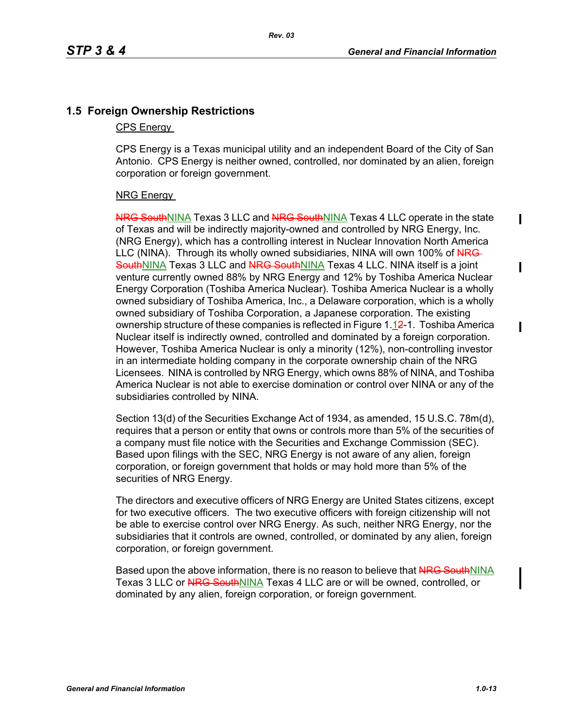## **1.5 Foreign Ownership Restrictions**

#### CPS Energy

CPS Energy is a Texas municipal utility and an independent Board of the City of San Antonio. CPS Energy is neither owned, controlled, nor dominated by an alien, foreign corporation or foreign government.

## NRG Energy

NRG SouthNINA Texas 3 LLC and NRG SouthNINA Texas 4 LLC operate in the state of Texas and will be indirectly majority-owned and controlled by NRG Energy, Inc. (NRG Energy), which has a controlling interest in Nuclear Innovation North America LLC (NINA). Through its wholly owned subsidiaries, NINA will own 100% of NRG-SouthNINA Texas 3 LLC and NRG SouthNINA Texas 4 LLC. NINA itself is a joint venture currently owned 88% by NRG Energy and 12% by Toshiba America Nuclear Energy Corporation (Toshiba America Nuclear). Toshiba America Nuclear is a wholly owned subsidiary of Toshiba America, Inc., a Delaware corporation, which is a wholly owned subsidiary of Toshiba Corporation, a Japanese corporation. The existing ownership structure of these companies is reflected in Figure 1.12-1. Toshiba America Nuclear itself is indirectly owned, controlled and dominated by a foreign corporation. However, Toshiba America Nuclear is only a minority (12%), non-controlling investor in an intermediate holding company in the corporate ownership chain of the NRG Licensees. NINA is controlled by NRG Energy, which owns 88% of NINA, and Toshiba America Nuclear is not able to exercise domination or control over NINA or any of the subsidiaries controlled by NINA.

Section 13(d) of the Securities Exchange Act of 1934, as amended, 15 U.S.C. 78m(d), requires that a person or entity that owns or controls more than 5% of the securities of a company must file notice with the Securities and Exchange Commission (SEC). Based upon filings with the SEC, NRG Energy is not aware of any alien, foreign corporation, or foreign government that holds or may hold more than 5% of the securities of NRG Energy.

The directors and executive officers of NRG Energy are United States citizens, except for two executive officers. The two executive officers with foreign citizenship will not be able to exercise control over NRG Energy. As such, neither NRG Energy, nor the subsidiaries that it controls are owned, controlled, or dominated by any alien, foreign corporation, or foreign government.

Based upon the above information, there is no reason to believe that NRG SouthNINA Texas 3 LLC or NRG SouthNINA Texas 4 LLC are or will be owned, controlled, or dominated by any alien, foreign corporation, or foreign government.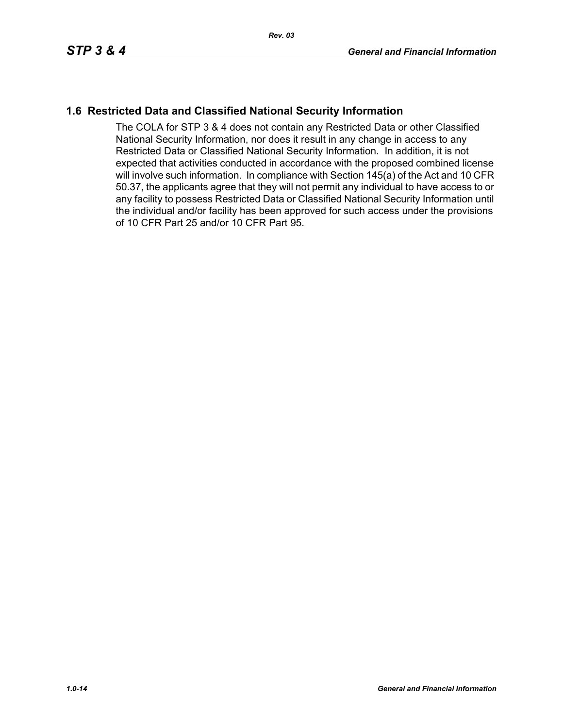## **1.6 Restricted Data and Classified National Security Information**

The COLA for STP 3 & 4 does not contain any Restricted Data or other Classified National Security Information, nor does it result in any change in access to any Restricted Data or Classified National Security Information. In addition, it is not expected that activities conducted in accordance with the proposed combined license will involve such information. In compliance with Section 145(a) of the Act and 10 CFR 50.37, the applicants agree that they will not permit any individual to have access to or any facility to possess Restricted Data or Classified National Security Information until the individual and/or facility has been approved for such access under the provisions of 10 CFR Part 25 and/or 10 CFR Part 95.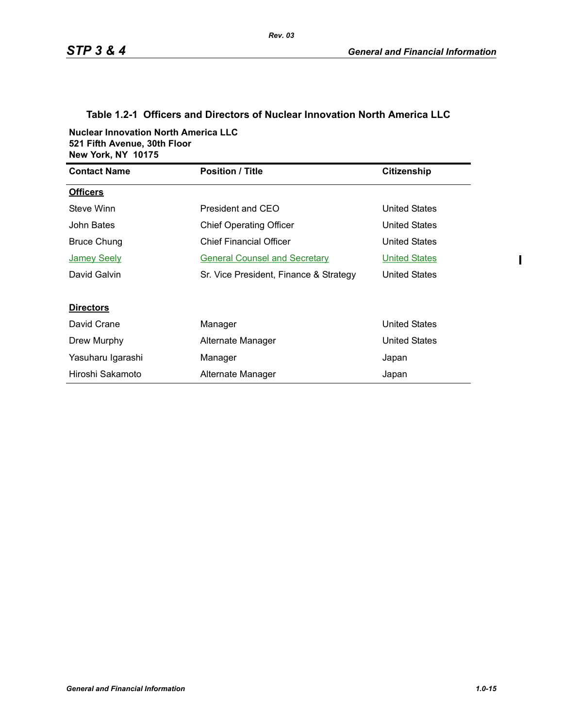## **Table 1.2-1 Officers and Directors of Nuclear Innovation North America LLC**

*Rev. 03*

**Nuclear Innovation North America LLC 521 Fifth Avenue, 30th Floor New York, NY 10175**

| <b>Contact Name</b> | <b>Position / Title</b>                | <b>Citizenship</b>   |
|---------------------|----------------------------------------|----------------------|
| <b>Officers</b>     |                                        |                      |
| Steve Winn          | President and CEO                      | <b>United States</b> |
| John Bates          | <b>Chief Operating Officer</b>         | <b>United States</b> |
| Bruce Chung         | <b>Chief Financial Officer</b>         | <b>United States</b> |
| <b>Jamey Seely</b>  | <b>General Counsel and Secretary</b>   | <b>United States</b> |
| David Galvin        | Sr. Vice President, Finance & Strategy | United States        |
|                     |                                        |                      |
| <b>Directors</b>    |                                        |                      |
| David Crane         | Manager                                | <b>United States</b> |
| Drew Murphy         | Alternate Manager                      | <b>United States</b> |
| Yasuharu Igarashi   | Manager                                | Japan                |
| Hiroshi Sakamoto    | Alternate Manager                      | Japan                |

 $\mathbf{I}$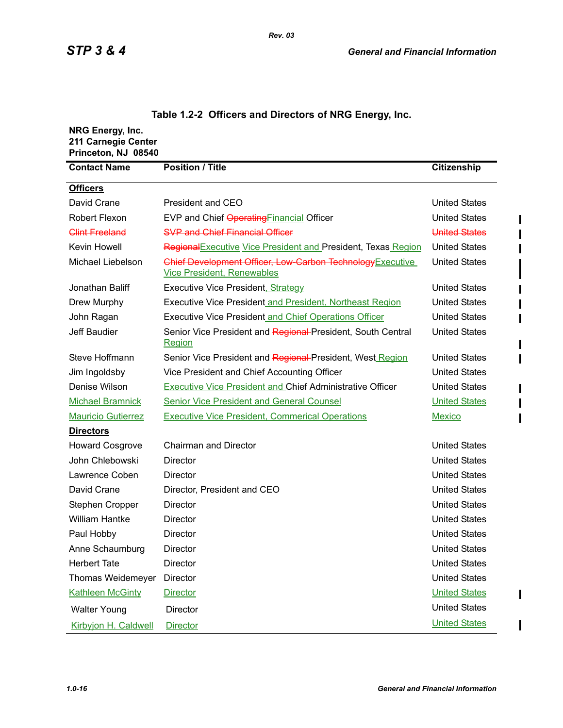| NRG Energy, Inc.<br>211 Carnegie Center<br>Princeton, NJ 08540 |                                                                                                 |                      |
|----------------------------------------------------------------|-------------------------------------------------------------------------------------------------|----------------------|
| <b>Contact Name</b>                                            | <b>Position / Title</b>                                                                         | Citizenship          |
| <b>Officers</b>                                                |                                                                                                 |                      |
| David Crane                                                    | President and CEO                                                                               | <b>United States</b> |
| Robert Flexon                                                  | EVP and Chief Operating Financial Officer                                                       | <b>United States</b> |
| <b>Clint Freeland</b>                                          | <b>SVP and Chief Financial Officer</b>                                                          | United States        |
| Kevin Howell                                                   | Regional Executive Vice President and President, Texas Region                                   | <b>United States</b> |
| Michael Liebelson                                              | Chief Development Officer, Low Carbon Technology Executive<br><b>Vice President, Renewables</b> | <b>United States</b> |
| Jonathan Baliff                                                | <b>Executive Vice President, Strategy</b>                                                       | <b>United States</b> |
| Drew Murphy                                                    | <b>Executive Vice President and President, Northeast Region</b>                                 | <b>United States</b> |
| John Ragan                                                     | <b>Executive Vice President and Chief Operations Officer</b>                                    | <b>United States</b> |
| Jeff Baudier                                                   | Senior Vice President and Regional President, South Central<br><b>Region</b>                    | <b>United States</b> |
| Steve Hoffmann                                                 | Senior Vice President and Regional President, West Region                                       | <b>United States</b> |
| Jim Ingoldsby                                                  | Vice President and Chief Accounting Officer                                                     | <b>United States</b> |
| Denise Wilson                                                  | <b>Executive Vice President and Chief Administrative Officer</b>                                | <b>United States</b> |
| <b>Michael Bramnick</b>                                        | <b>Senior Vice President and General Counsel</b>                                                | <b>United States</b> |
| <b>Mauricio Gutierrez</b>                                      | <b>Executive Vice President, Commerical Operations</b>                                          | <b>Mexico</b>        |
| <b>Directors</b>                                               |                                                                                                 |                      |
| <b>Howard Cosgrove</b>                                         | <b>Chairman and Director</b>                                                                    | <b>United States</b> |
| John Chlebowski                                                | Director                                                                                        | <b>United States</b> |
| Lawrence Coben                                                 | Director                                                                                        | <b>United States</b> |
| David Crane                                                    | Director, President and CEO                                                                     | <b>United States</b> |
| Stephen Cropper                                                | <b>Director</b>                                                                                 | <b>United States</b> |
| <b>William Hantke</b>                                          | Director                                                                                        | <b>United States</b> |
| Paul Hobby                                                     | Director                                                                                        | <b>United States</b> |
| Anne Schaumburg                                                | <b>Director</b>                                                                                 | <b>United States</b> |
| <b>Herbert Tate</b>                                            | <b>Director</b>                                                                                 | <b>United States</b> |
| Thomas Weidemeyer                                              | Director                                                                                        | <b>United States</b> |
| <b>Kathleen McGinty</b>                                        | <b>Director</b>                                                                                 | <b>United States</b> |
| <b>Walter Young</b>                                            | Director                                                                                        | <b>United States</b> |
| Kirbyjon H. Caldwell                                           | <b>Director</b>                                                                                 | <b>United States</b> |

## **Table 1.2-2 Officers and Directors of NRG Energy, Inc.**

ı

 $\mathbf I$ 

ı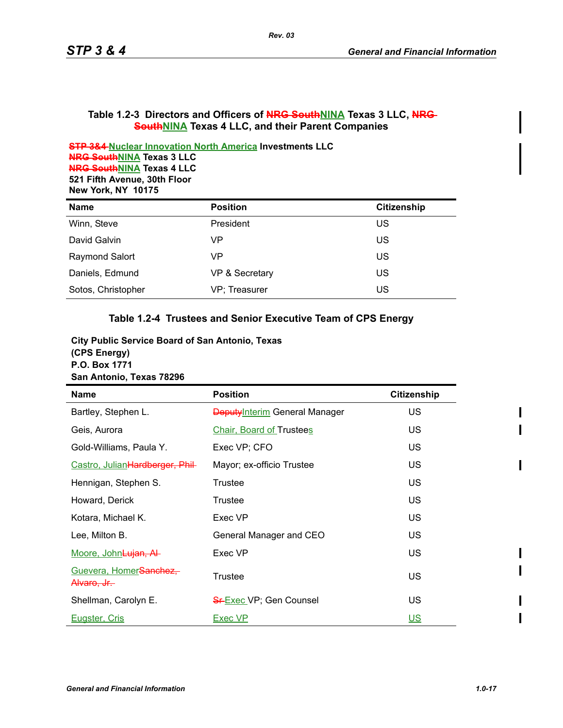#### Table 1.2-3 Directors and Officers of **NRG SouthNINA** Texas 3 LLC, NRG **SouthNINA Texas 4 LLC, and their Parent Companies**

**STP 3&4 Nuclear Innovation North America Investments LLC NRG SouthNINA Texas 3 LLC NRG SouthNINA Texas 4 LLC 521 Fifth Avenue, 30th Floor New York, NY 10175**

| <b>Name</b>           | <b>Position</b> | Citizenship |
|-----------------------|-----------------|-------------|
| Winn, Steve           | President       | US          |
| David Galvin          | VP              | US          |
| <b>Raymond Salort</b> | VP              | US          |
| Daniels, Edmund       | VP & Secretary  | US          |
| Sotos, Christopher    | VP; Treasurer   | US          |

## **Table 1.2-4 Trustees and Senior Executive Team of CPS Energy**

| <b>City Public Service Board of San Antonio, Texas</b> |
|--------------------------------------------------------|
| (CPS Energy)                                           |
| P.O. Box 1771                                          |
| San Antonio, Texas 78296                               |

| <b>Name</b>                                        | <b>Position</b>                       | <b>Citizenship</b> |
|----------------------------------------------------|---------------------------------------|--------------------|
| Bartley, Stephen L.                                | <b>Deputy</b> Interim General Manager | US                 |
| Geis, Aurora                                       | <b>Chair, Board of Trustees</b>       | <b>US</b>          |
| Gold-Williams, Paula Y.                            | Exec VP; CFO                          | US                 |
| Castro, JulianHardberger, Phil-                    | Mayor; ex-officio Trustee             | <b>US</b>          |
| Hennigan, Stephen S.                               | Trustee                               | US                 |
| Howard, Derick                                     | Trustee                               | <b>US</b>          |
| Kotara, Michael K.                                 | Exec VP                               | US.                |
| Lee, Milton B.                                     | General Manager and CEO               | <b>US</b>          |
| <u>Moore, John<del>Lujan, Al</del>-</u>            | Exec VP                               | <b>US</b>          |
| Guevera, HomerSanchez,<br><del>Alvaro. Jr. -</del> | Trustee                               | <b>US</b>          |
| Shellman, Carolyn E.                               | <b>SF Exec VP; Gen Counsel</b>        | US                 |
| Eugster, Cris                                      | Exec VP                               | <u>US</u>          |

 $\blacksquare$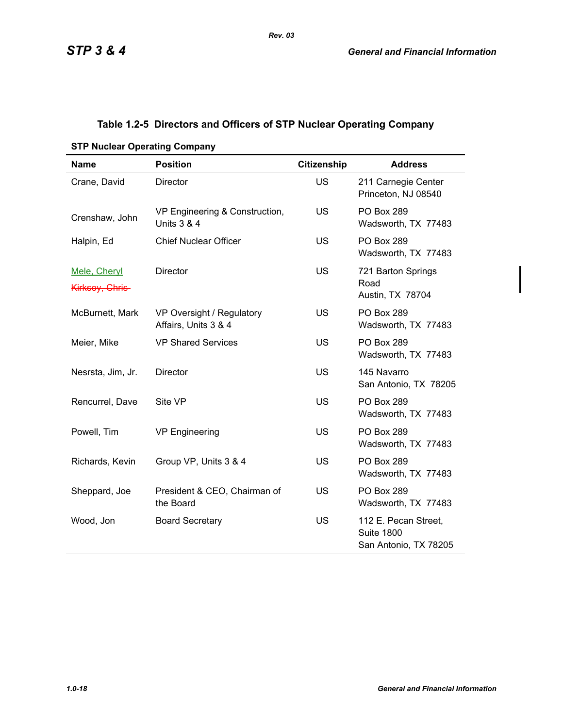## **Table 1.2-5 Directors and Officers of STP Nuclear Operating Company**

| <b>Name</b>                     | <b>Position</b>                                          | <b>Citizenship</b> | <b>Address</b>                                                     |
|---------------------------------|----------------------------------------------------------|--------------------|--------------------------------------------------------------------|
| Crane, David                    | <b>Director</b>                                          | <b>US</b>          | 211 Carnegie Center<br>Princeton, NJ 08540                         |
| Crenshaw, John                  | VP Engineering & Construction,<br><b>Units 3 &amp; 4</b> | <b>US</b>          | PO Box 289<br>Wadsworth, TX 77483                                  |
| Halpin, Ed                      | <b>Chief Nuclear Officer</b>                             | <b>US</b>          | PO Box 289<br>Wadsworth, TX 77483                                  |
| Mele, Cheryl<br>Kirksey, Chris- | <b>Director</b>                                          | <b>US</b>          | 721 Barton Springs<br>Road<br>Austin, TX 78704                     |
| McBurnett, Mark                 | VP Oversight / Regulatory<br>Affairs, Units 3 & 4        | <b>US</b>          | <b>PO Box 289</b><br>Wadsworth, TX 77483                           |
| Meier, Mike                     | <b>VP Shared Services</b>                                | <b>US</b>          | <b>PO Box 289</b><br>Wadsworth, TX 77483                           |
| Nesrsta, Jim, Jr.               | Director                                                 | <b>US</b>          | 145 Navarro<br>San Antonio, TX 78205                               |
| Rencurrel, Dave                 | Site VP                                                  | <b>US</b>          | <b>PO Box 289</b><br>Wadsworth, TX 77483                           |
| Powell, Tim                     | <b>VP Engineering</b>                                    | <b>US</b>          | PO Box 289<br>Wadsworth, TX 77483                                  |
| Richards, Kevin                 | Group VP, Units 3 & 4                                    | <b>US</b>          | <b>PO Box 289</b><br>Wadsworth, TX 77483                           |
| Sheppard, Joe                   | President & CEO, Chairman of<br>the Board                | <b>US</b>          | <b>PO Box 289</b><br>Wadsworth, TX 77483                           |
| Wood, Jon                       | <b>Board Secretary</b>                                   | <b>US</b>          | 112 E. Pecan Street,<br><b>Suite 1800</b><br>San Antonio, TX 78205 |

#### **STP Nuclear Operating Company**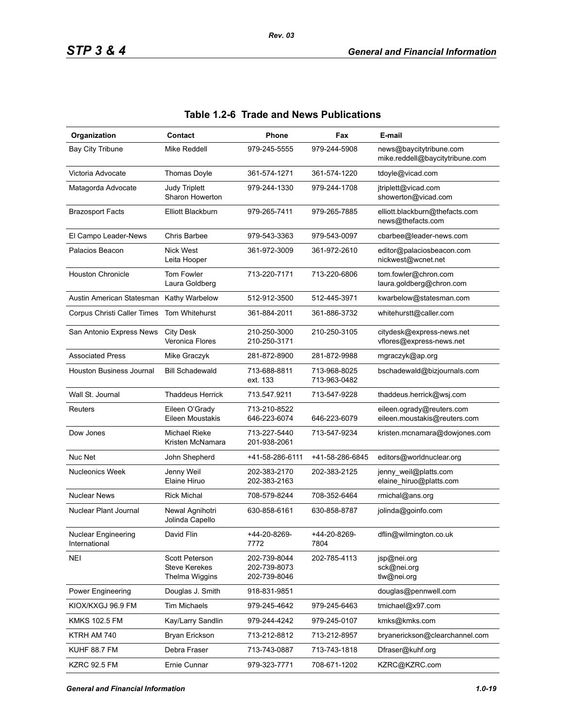| Organization                         | Contact                                                  | Phone                                        | Fax                          | E-mail                                                     |
|--------------------------------------|----------------------------------------------------------|----------------------------------------------|------------------------------|------------------------------------------------------------|
| <b>Bay City Tribune</b>              | Mike Reddell                                             | 979-245-5555                                 | 979-244-5908                 | news@baycitytribune.com<br>mike.reddell@baycitytribune.com |
| Victoria Advocate                    | Thomas Doyle                                             | 361-574-1271                                 | 361-574-1220                 | tdoyle@vicad.com                                           |
| Matagorda Advocate                   | <b>Judy Triplett</b><br>Sharon Howerton                  | 979-244-1330                                 | 979-244-1708                 | jtriplett@vicad.com<br>showerton@vicad.com                 |
| <b>Brazosport Facts</b>              | Elliott Blackburn                                        | 979-265-7411                                 | 979-265-7885                 | elliott.blackburn@thefacts.com<br>news@thefacts.com        |
| El Campo Leader-News                 | Chris Barbee                                             | 979-543-3363                                 | 979-543-0097                 | cbarbee@leader-news.com                                    |
| Palacios Beacon                      | <b>Nick West</b><br>Leita Hooper                         | 361-972-3009                                 | 361-972-2610                 | editor@palaciosbeacon.com<br>nickwest@wcnet.net            |
| <b>Houston Chronicle</b>             | Tom Fowler<br>Laura Goldberg                             | 713-220-7171                                 | 713-220-6806                 | tom.fowler@chron.com<br>laura.goldberg@chron.com           |
| Austin American Statesman            | Kathy Warbelow                                           | 512-912-3500                                 | 512-445-3971                 | kwarbelow@statesman.com                                    |
| Corpus Christi Caller Times          | Tom Whitehurst                                           | 361-884-2011                                 | 361-886-3732                 | whitehurstt@caller.com                                     |
| San Antonio Express News             | <b>City Desk</b><br>Veronica Flores                      | 210-250-3000<br>210-250-3171                 | 210-250-3105                 | citydesk@express-news.net<br>vflores@express-news.net      |
| <b>Associated Press</b>              | Mike Graczyk                                             | 281-872-8900                                 | 281-872-9988                 | mgraczyk@ap.org                                            |
| <b>Houston Business Journal</b>      | <b>Bill Schadewald</b>                                   | 713-688-8811<br>ext. 133                     | 713-968-8025<br>713-963-0482 | bschadewald@bizjournals.com                                |
| Wall St. Journal                     | <b>Thaddeus Herrick</b>                                  | 713.547.9211                                 | 713-547-9228                 | thaddeus.herrick@wsj.com                                   |
| Reuters                              | Eileen O'Grady<br>Eileen Moustakis                       | 713-210-8522<br>646-223-6074                 | 646-223-6079                 | eileen.ogrady@reuters.com<br>eileen.moustakis@reuters.com  |
| Dow Jones                            | Michael Rieke<br>Kristen McNamara                        | 713-227-5440<br>201-938-2061                 | 713-547-9234                 | kristen.mcnamara@dowjones.com                              |
| Nuc Net                              | John Shepherd                                            | +41-58-286-6111                              | +41-58-286-6845              | editors@worldnuclear.org                                   |
| <b>Nucleonics Week</b>               | Jenny Weil<br>Elaine Hiruo                               | 202-383-2170<br>202-383-2163                 | 202-383-2125                 | jenny_weil@platts.com<br>elaine_hiruo@platts.com           |
| <b>Nuclear News</b>                  | <b>Rick Michal</b>                                       | 708-579-8244                                 | 708-352-6464                 | rmichal@ans.org                                            |
| Nuclear Plant Journal                | Newal Agnihotri<br>Jolinda Capello                       | 630-858-6161                                 | 630-858-8787                 | jolinda@goinfo.com                                         |
| Nuclear Engineering<br>International | David Flin                                               | +44-20-8269-<br>7772                         | +44-20-8269-<br>7804         | dflin@wilmington.co.uk                                     |
| <b>NEI</b>                           | Scott Peterson<br><b>Steve Kerekes</b><br>Thelma Wiggins | 202-739-8044<br>202-739-8073<br>202-739-8046 | 202-785-4113                 | jsp@nei.org<br>sck@nei.org<br>tlw@nei.org                  |
| Power Engineering                    | Douglas J. Smith                                         | 918-831-9851                                 |                              | douglas@pennwell.com                                       |
| KIOX/KXGJ 96.9 FM                    | Tim Michaels                                             | 979-245-4642                                 | 979-245-6463                 | tmichael@x97.com                                           |
| <b>KMKS 102.5 FM</b>                 | Kay/Larry Sandlin                                        | 979-244-4242                                 | 979-245-0107                 | kmks@kmks.com                                              |
| KTRH AM 740                          | Bryan Erickson                                           | 713-212-8812                                 | 713-212-8957                 | bryanerickson@clearchannel.com                             |
| <b>KUHF 88.7 FM</b>                  | Debra Fraser                                             | 713-743-0887                                 | 713-743-1818                 | Dfraser@kuhf.org                                           |
| <b>KZRC 92.5 FM</b>                  | Ernie Cunnar                                             | 979-323-7771                                 | 708-671-1202                 | KZRC@KZRC.com                                              |

## **Table 1.2-6 Trade and News Publications**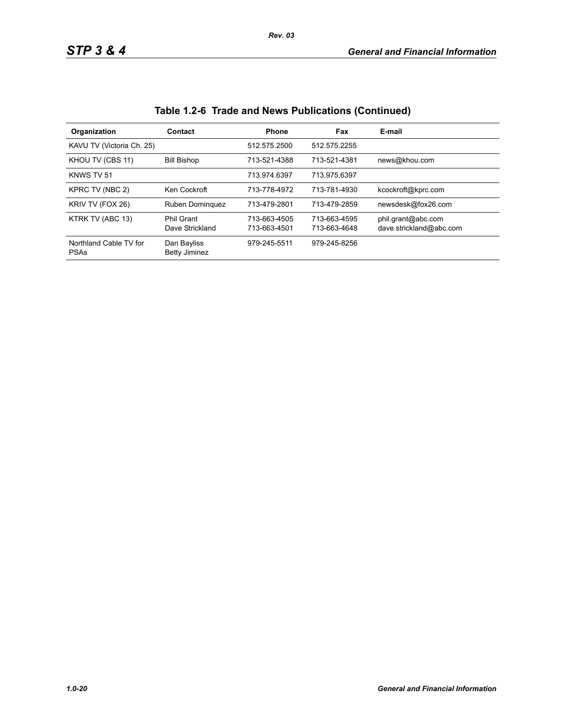| Organization                          | Contact                              | <b>Phone</b>                 | Fax                          | E-mail                                        |
|---------------------------------------|--------------------------------------|------------------------------|------------------------------|-----------------------------------------------|
| KAVU TV (Victoria Ch. 25)             |                                      | 512.575.2500                 | 512.575.2255                 |                                               |
| KHOU TV (CBS 11)                      | <b>Bill Bishop</b>                   | 713-521-4388                 | 713-521-4381                 | news@khou.com                                 |
| KNWS TV 51                            |                                      | 713.974.6397                 | 713.975.6397                 |                                               |
| KPRC TV (NBC 2)                       | Ken Cockroft                         | 713-778-4972                 | 713-781-4930                 | kcockroft@kprc.com                            |
| KRIV TV (FOX 26)                      | Ruben Dominguez                      | 713-479-2801                 | 713-479-2859                 | newsdesk@fox26.com                            |
| KTRK TV (ABC 13)                      | <b>Phil Grant</b><br>Dave Strickland | 713-663-4505<br>713-663-4501 | 713-663-4595<br>713-663-4648 | phil.grant@abc.com<br>dave.strickland@abc.com |
| Northland Cable TV for<br><b>PSAs</b> | Dan Bayliss<br><b>Betty Jiminez</b>  | 979-245-5511                 | 979-245-8256                 |                                               |

## **Table 1.2-6 Trade and News Publications (Continued)**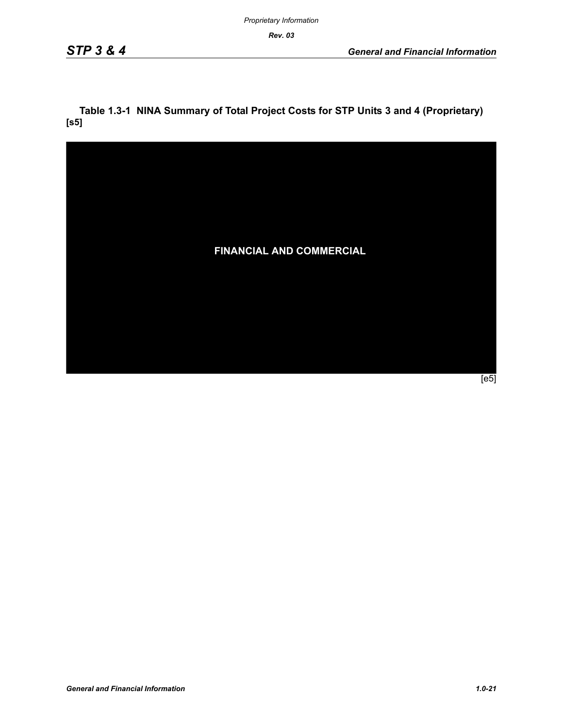*Rev. 03*

## **Table 1.3-1 NINA Summary of Total Project Costs for STP Units 3 and 4 (Proprietary) [s5]**



 $\overline{[e5]}$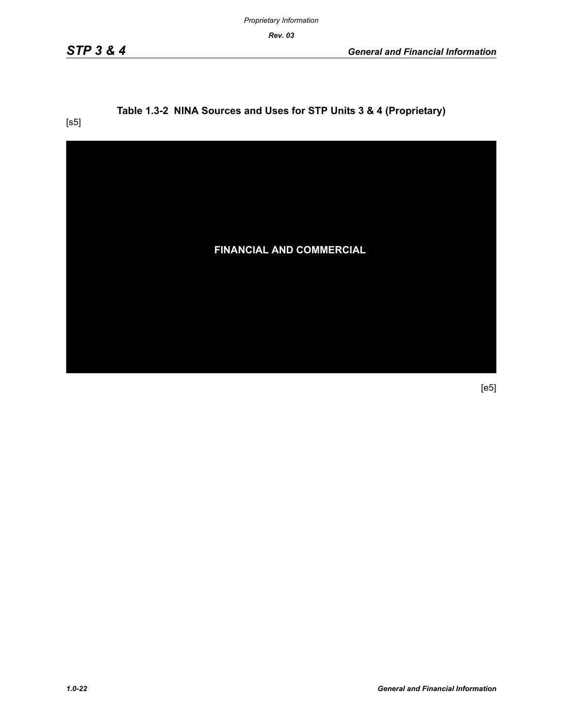*Proprietary Information*

*Rev. 03*

## **Table 1.3-2 NINA Sources and Uses for STP Units 3 & 4 (Proprietary)**

[s5]



[e5]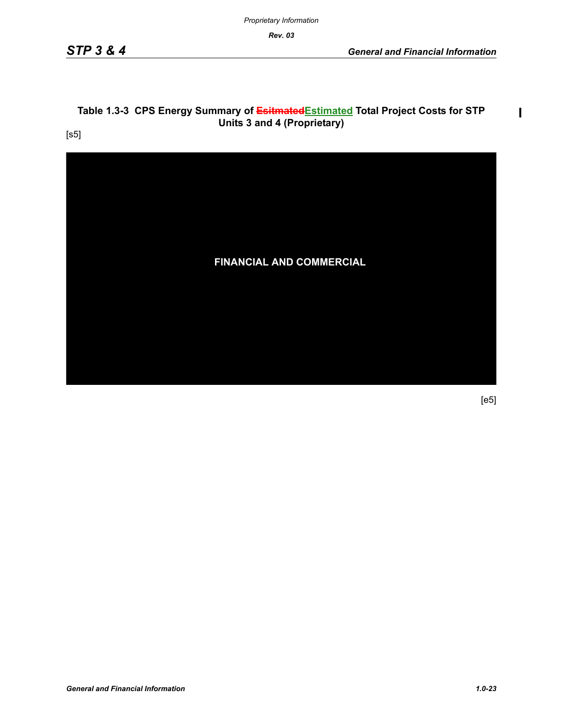*Proprietary Information*

*Rev. 03*

## Table 1.3-3 CPS Energy Summary of **Esitmated** Estimated Total Project Costs for STP **Units 3 and 4 (Proprietary)**

[s5]



[e5]

 $\mathbf{I}$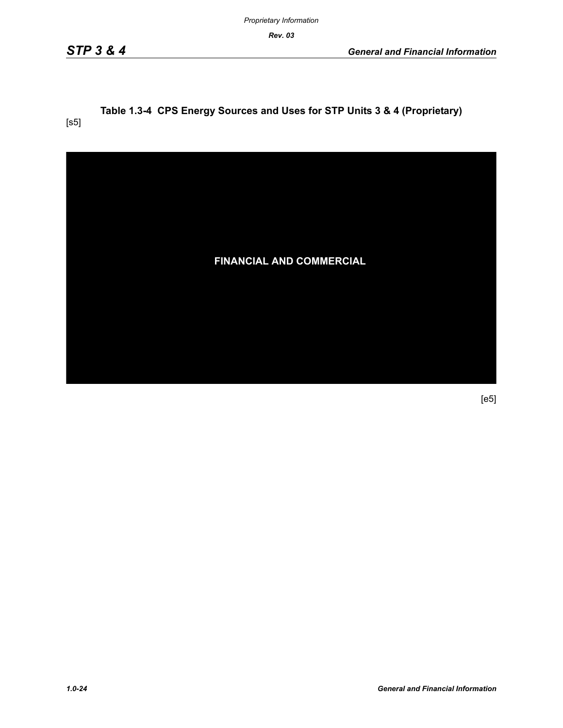*Rev. 03*

#### **Table 1.3-4 CPS Energy Sources and Uses for STP Units 3 & 4 (Proprietary)** [s5]



[e5]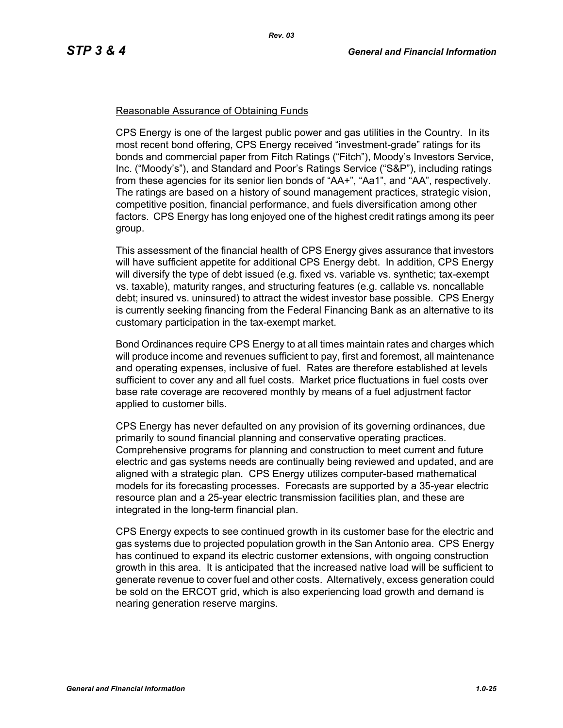#### Reasonable Assurance of Obtaining Funds

CPS Energy is one of the largest public power and gas utilities in the Country. In its most recent bond offering, CPS Energy received "investment-grade" ratings for its bonds and commercial paper from Fitch Ratings ("Fitch"), Moody's Investors Service, Inc. ("Moody's"), and Standard and Poor's Ratings Service ("S&P"), including ratings from these agencies for its senior lien bonds of "AA+", "Aa1", and "AA", respectively. The ratings are based on a history of sound management practices, strategic vision, competitive position, financial performance, and fuels diversification among other factors. CPS Energy has long enjoyed one of the highest credit ratings among its peer group.

This assessment of the financial health of CPS Energy gives assurance that investors will have sufficient appetite for additional CPS Energy debt. In addition, CPS Energy will diversify the type of debt issued (e.g. fixed vs. variable vs. synthetic; tax-exempt vs. taxable), maturity ranges, and structuring features (e.g. callable vs. noncallable debt; insured vs. uninsured) to attract the widest investor base possible. CPS Energy is currently seeking financing from the Federal Financing Bank as an alternative to its customary participation in the tax-exempt market.

Bond Ordinances require CPS Energy to at all times maintain rates and charges which will produce income and revenues sufficient to pay, first and foremost, all maintenance and operating expenses, inclusive of fuel. Rates are therefore established at levels sufficient to cover any and all fuel costs. Market price fluctuations in fuel costs over base rate coverage are recovered monthly by means of a fuel adjustment factor applied to customer bills.

CPS Energy has never defaulted on any provision of its governing ordinances, due primarily to sound financial planning and conservative operating practices. Comprehensive programs for planning and construction to meet current and future electric and gas systems needs are continually being reviewed and updated, and are aligned with a strategic plan. CPS Energy utilizes computer-based mathematical models for its forecasting processes. Forecasts are supported by a 35-year electric resource plan and a 25-year electric transmission facilities plan, and these are integrated in the long-term financial plan.

CPS Energy expects to see continued growth in its customer base for the electric and gas systems due to projected population growth in the San Antonio area. CPS Energy has continued to expand its electric customer extensions, with ongoing construction growth in this area. It is anticipated that the increased native load will be sufficient to generate revenue to cover fuel and other costs. Alternatively, excess generation could be sold on the ERCOT grid, which is also experiencing load growth and demand is nearing generation reserve margins.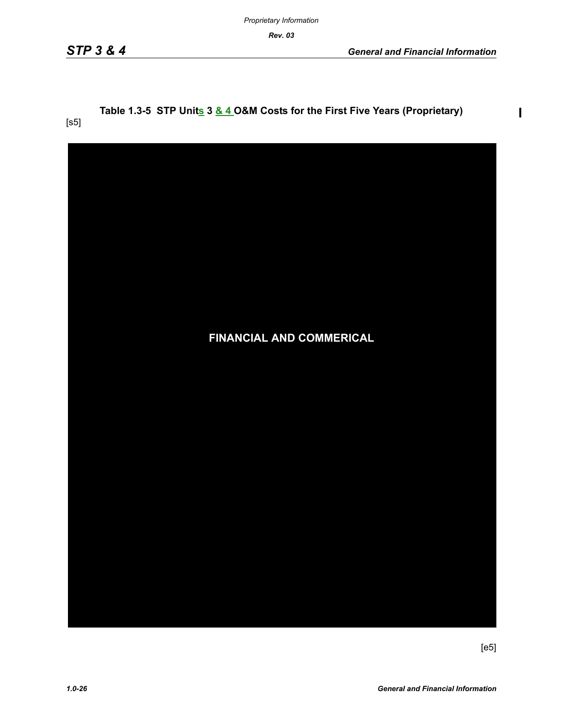*Rev. 03*

[s5]

 $\mathbf l$ 

# Table 1.3-5 STP Units 3 & 4 O&M Costs for the First Five Years (Proprietary)

| FINANCIAL AND COMMERICAL |  |
|--------------------------|--|
|                          |  |
|                          |  |
|                          |  |
|                          |  |

[e5]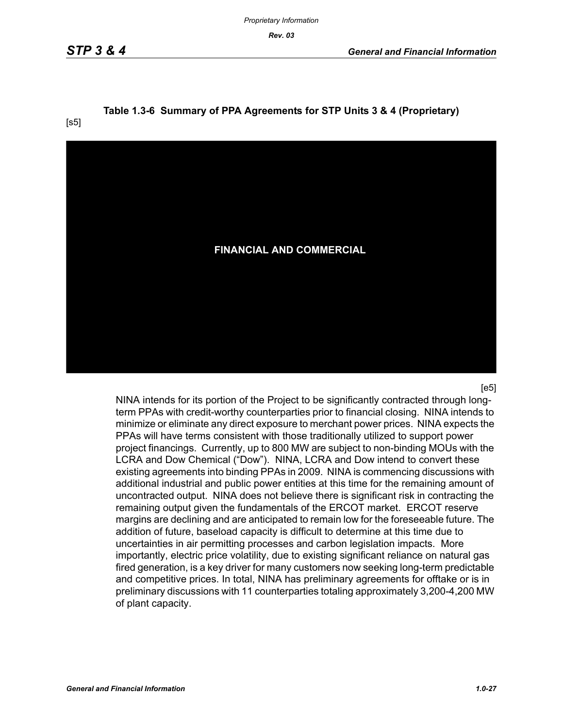*Proprietary Information*

*Rev. 03*

# **Table 1.3-6 Summary of PPA Agreements for STP Units 3 & 4 (Proprietary)**

![](_page_26_Picture_5.jpeg)

 $[e5]$ 

NINA intends for its portion of the Project to be significantly contracted through longterm PPAs with credit-worthy counterparties prior to financial closing. NINA intends to minimize or eliminate any direct exposure to merchant power prices. NINA expects the PPAs will have terms consistent with those traditionally utilized to support power project financings. Currently, up to 800 MW are subject to non-binding MOUs with the LCRA and Dow Chemical ("Dow"). NINA, LCRA and Dow intend to convert these existing agreements into binding PPAs in 2009. NINA is commencing discussions with additional industrial and public power entities at this time for the remaining amount of uncontracted output. NINA does not believe there is significant risk in contracting the remaining output given the fundamentals of the ERCOT market. ERCOT reserve margins are declining and are anticipated to remain low for the foreseeable future. The addition of future, baseload capacity is difficult to determine at this time due to uncertainties in air permitting processes and carbon legislation impacts. More importantly, electric price volatility, due to existing significant reliance on natural gas fired generation, is a key driver for many customers now seeking long-term predictable and competitive prices. In total, NINA has preliminary agreements for offtake or is in preliminary discussions with 11 counterparties totaling approximately 3,200-4,200 MW of plant capacity.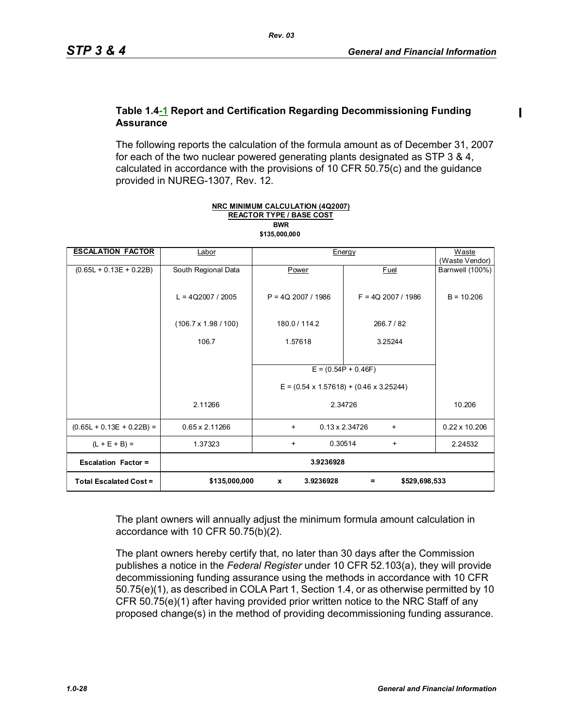#### **Table 1.4-1 Report and Certification Regarding Decommissioning Funding Assurance**

The following reports the calculation of the formula amount as of December 31, 2007 for each of the two nuclear powered generating plants designated as STP 3 & 4, calculated in accordance with the provisions of 10 CFR 50.75(c) and the guidance provided in NUREG-1307, Rev. 12.

| <b>ESCALATION FACTOR</b>      | Labor                       | Energy                                              | Waste                              |                                   |
|-------------------------------|-----------------------------|-----------------------------------------------------|------------------------------------|-----------------------------------|
| $(0.65L + 0.13E + 0.22B)$     | South Regional Data         | Power                                               | Fuel                               | (Waste Vendor)<br>Barnwell (100%) |
|                               |                             |                                                     |                                    |                                   |
|                               | $L = 4Q2007 / 2005$         | $P = 4Q$ 2007 / 1986                                | $F = 4Q$ 2007 / 1986               | $B = 10.206$                      |
|                               | $(106.7 \times 1.98 / 100)$ | 180.0 / 114.2                                       | 266.7/82                           |                                   |
|                               | 106.7                       | 1.57618                                             | 3.25244                            |                                   |
|                               |                             |                                                     |                                    |                                   |
|                               |                             |                                                     | $E = (0.54P + 0.46F)$              |                                   |
|                               |                             | $E = (0.54 \times 1.57618) + (0.46 \times 3.25244)$ |                                    |                                   |
|                               | 2.11266                     |                                                     | 2.34726                            | 10.206                            |
| $(0.65L + 0.13E + 0.22B) =$   | 0.65 x 2.11266              | $\ddot{}$                                           | $0.13 \times 2.34726$<br>$\ddot{}$ | $0.22 \times 10.206$              |
| $(L + E + B) =$               | 1.37323                     | 0.30514<br>$\ddot{}$                                | $\ddot{}$                          | 2.24532                           |
| <b>Escalation Factor =</b>    | 3.9236928                   |                                                     |                                    |                                   |
| <b>Total Escalated Cost =</b> | \$135,000,000               | 3.9236928<br>$\mathbf{x}$                           | \$529,698,533<br>$\equiv$          |                                   |

**REACTOR TYPE / BASE COST NRC MINIMUM CALCULATION (4Q2007) \$135,000,000 BWR**

The plant owners will annually adjust the minimum formula amount calculation in accordance with 10 CFR 50.75(b)(2).

The plant owners hereby certify that, no later than 30 days after the Commission publishes a notice in the *Federal Register* under 10 CFR 52.103(a), they will provide decommissioning funding assurance using the methods in accordance with 10 CFR 50.75(e)(1), as described in COLA Part 1, Section 1.4, or as otherwise permitted by 10 CFR 50.75(e)(1) after having provided prior written notice to the NRC Staff of any proposed change(s) in the method of providing decommissioning funding assurance.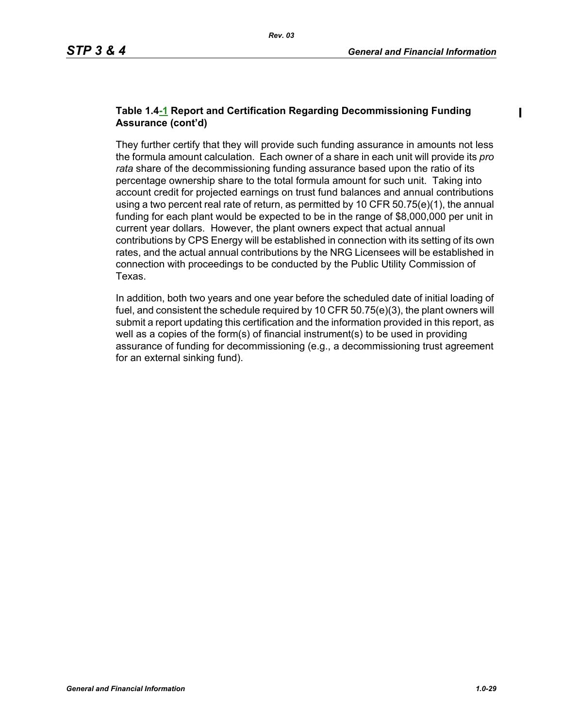#### **Table 1.4-1 Report and Certification Regarding Decommissioning Funding Assurance (cont'd)**

They further certify that they will provide such funding assurance in amounts not less the formula amount calculation. Each owner of a share in each unit will provide its *pro rata* share of the decommissioning funding assurance based upon the ratio of its percentage ownership share to the total formula amount for such unit. Taking into account credit for projected earnings on trust fund balances and annual contributions using a two percent real rate of return, as permitted by 10 CFR  $50.75(e)(1)$ , the annual funding for each plant would be expected to be in the range of \$8,000,000 per unit in current year dollars. However, the plant owners expect that actual annual contributions by CPS Energy will be established in connection with its setting of its own rates, and the actual annual contributions by the NRG Licensees will be established in connection with proceedings to be conducted by the Public Utility Commission of Texas.

In addition, both two years and one year before the scheduled date of initial loading of fuel, and consistent the schedule required by 10 CFR 50.75(e)(3), the plant owners will submit a report updating this certification and the information provided in this report, as well as a copies of the form(s) of financial instrument(s) to be used in providing assurance of funding for decommissioning (e.g., a decommissioning trust agreement for an external sinking fund).